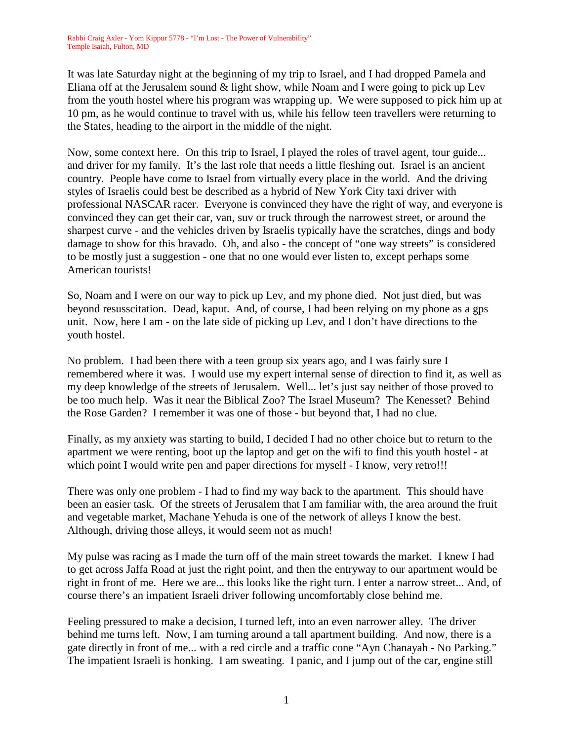It was late Saturday night at the beginning of my trip to Israel, and I had dropped Pamela and Eliana off at the Jerusalem sound & light show, while Noam and I were going to pick up Lev from the youth hostel where his program was wrapping up. We were supposed to pick him up at 10 pm, as he would continue to travel with us, while his fellow teen travellers were returning to the States, heading to the airport in the middle of the night.

Now, some context here. On this trip to Israel, I played the roles of travel agent, tour guide... and driver for my family. It's the last role that needs a little fleshing out. Israel is an ancient country. People have come to Israel from virtually every place in the world. And the driving styles of Israelis could best be described as a hybrid of New York City taxi driver with professional NASCAR racer. Everyone is convinced they have the right of way, and everyone is convinced they can get their car, van, suv or truck through the narrowest street, or around the sharpest curve - and the vehicles driven by Israelis typically have the scratches, dings and body damage to show for this bravado. Oh, and also - the concept of "one way streets" is considered to be mostly just a suggestion - one that no one would ever listen to, except perhaps some American tourists!

So, Noam and I were on our way to pick up Lev, and my phone died. Not just died, but was beyond resusscitation. Dead, kaput. And, of course, I had been relying on my phone as a gps unit. Now, here I am - on the late side of picking up Lev, and I don't have directions to the youth hostel.

No problem. I had been there with a teen group six years ago, and I was fairly sure I remembered where it was. I would use my expert internal sense of direction to find it, as well as my deep knowledge of the streets of Jerusalem. Well... let's just say neither of those proved to be too much help. Was it near the Biblical Zoo? The Israel Museum? The Kenesset? Behind the Rose Garden? I remember it was one of those - but beyond that, I had no clue.

Finally, as my anxiety was starting to build, I decided I had no other choice but to return to the apartment we were renting, boot up the laptop and get on the wifi to find this youth hostel - at which point I would write pen and paper directions for myself - I know, very retro!!!

There was only one problem - I had to find my way back to the apartment. This should have been an easier task. Of the streets of Jerusalem that I am familiar with, the area around the fruit and vegetable market, Machane Yehuda is one of the network of alleys I know the best. Although, driving those alleys, it would seem not as much!

My pulse was racing as I made the turn off of the main street towards the market. I knew I had to get across Jaffa Road at just the right point, and then the entryway to our apartment would be right in front of me. Here we are... this looks like the right turn. I enter a narrow street... And, of course there's an impatient Israeli driver following uncomfortably close behind me.

Feeling pressured to make a decision, I turned left, into an even narrower alley. The driver behind me turns left. Now, I am turning around a tall apartment building. And now, there is a gate directly in front of me... with a red circle and a traffic cone "Ayn Chanayah - No Parking." The impatient Israeli is honking. I am sweating. I panic, and I jump out of the car, engine still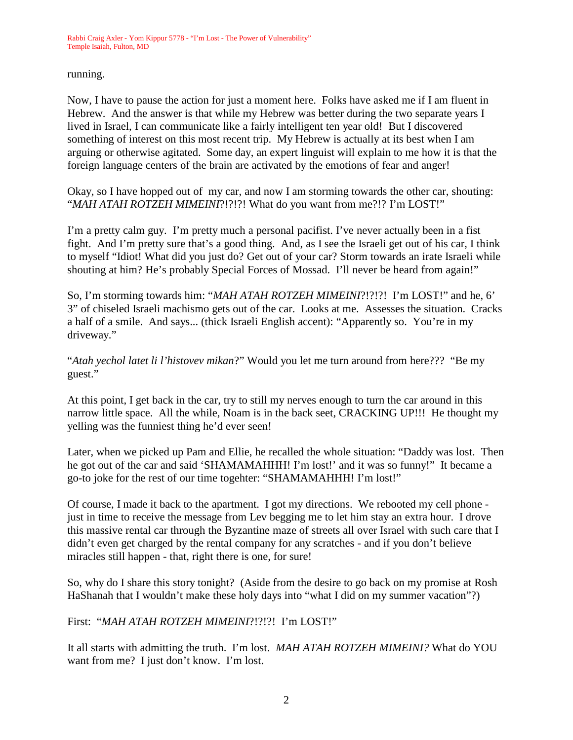running.

Now, I have to pause the action for just a moment here. Folks have asked me if I am fluent in Hebrew. And the answer is that while my Hebrew was better during the two separate years I lived in Israel, I can communicate like a fairly intelligent ten year old! But I discovered something of interest on this most recent trip. My Hebrew is actually at its best when I am arguing or otherwise agitated. Some day, an expert linguist will explain to me how it is that the foreign language centers of the brain are activated by the emotions of fear and anger!

Okay, so I have hopped out of my car, and now I am storming towards the other car, shouting: "*MAH ATAH ROTZEH MIMEINI*?!?!?! What do you want from me?!? I'm LOST!"

I'm a pretty calm guy. I'm pretty much a personal pacifist. I've never actually been in a fist fight. And I'm pretty sure that's a good thing. And, as I see the Israeli get out of his car, I think to myself "Idiot! What did you just do? Get out of your car? Storm towards an irate Israeli while shouting at him? He's probably Special Forces of Mossad. I'll never be heard from again!"

So, I'm storming towards him: "*MAH ATAH ROTZEH MIMEINI*?!?!?! I'm LOST!" and he, 6' 3" of chiseled Israeli machismo gets out of the car. Looks at me. Assesses the situation. Cracks a half of a smile. And says... (thick Israeli English accent): "Apparently so. You're in my driveway."

"*Atah yechol latet li l'histovev mikan*?" Would you let me turn around from here??? "Be my guest."

At this point, I get back in the car, try to still my nerves enough to turn the car around in this narrow little space. All the while, Noam is in the back seet, CRACKING UP!!! He thought my yelling was the funniest thing he'd ever seen!

Later, when we picked up Pam and Ellie, he recalled the whole situation: "Daddy was lost. Then he got out of the car and said 'SHAMAMAHHH! I'm lost!' and it was so funny!" It became a go-to joke for the rest of our time togehter: "SHAMAMAHHH! I'm lost!"

Of course, I made it back to the apartment. I got my directions. We rebooted my cell phone just in time to receive the message from Lev begging me to let him stay an extra hour. I drove this massive rental car through the Byzantine maze of streets all over Israel with such care that I didn't even get charged by the rental company for any scratches - and if you don't believe miracles still happen - that, right there is one, for sure!

So, why do I share this story tonight? (Aside from the desire to go back on my promise at Rosh HaShanah that I wouldn't make these holy days into "what I did on my summer vacation"?)

First: "*MAH ATAH ROTZEH MIMEINI*?!?!?! I'm LOST!"

It all starts with admitting the truth. I'm lost. *MAH ATAH ROTZEH MIMEINI?* What do YOU want from me? I just don't know. I'm lost.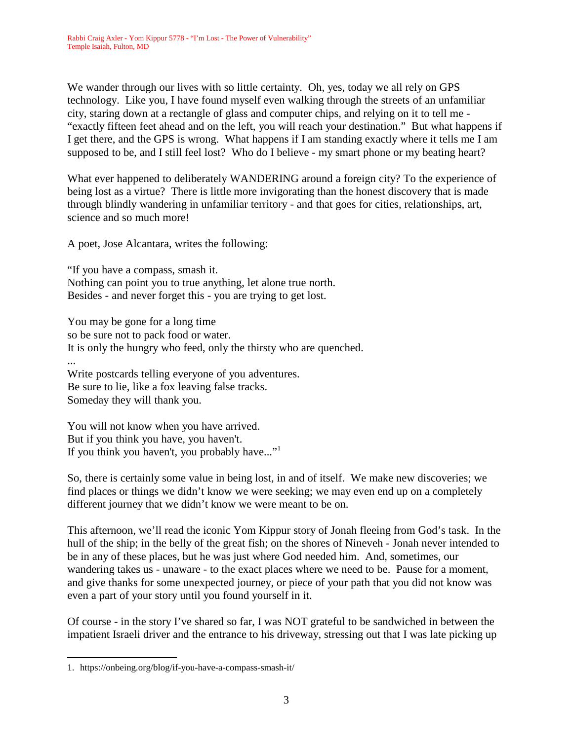We wander through our lives with so little certainty. Oh, yes, today we all rely on GPS technology. Like you, I have found myself even walking through the streets of an unfamiliar city, staring down at a rectangle of glass and computer chips, and relying on it to tell me - "exactly fifteen feet ahead and on the left, you will reach your destination." But what happens if I get there, and the GPS is wrong. What happens if I am standing exactly where it tells me I am supposed to be, and I still feel lost? Who do I believe - my smart phone or my beating heart?

What ever happened to deliberately WANDERING around a foreign city? To the experience of being lost as a virtue? There is little more invigorating than the honest discovery that is made through blindly wandering in unfamiliar territory - and that goes for cities, relationships, art, science and so much more!

A poet, Jose Alcantara, writes the following:

"If you have a compass, smash it. Nothing can point you to true anything, let alone true north. Besides - and never forget this - you are trying to get lost.

You may be gone for a long time so be sure not to pack food or water. It is only the hungry who feed, only the thirsty who are quenched. ... Write postcards telling everyone of you adventures. Be sure to lie, like a fox leaving false tracks. Someday they will thank you.

You will not know when you have arrived. But if you think you have, you haven't. If you think you haven't, you probably have..."<sup>1</sup>

So, there is certainly some value in being lost, in and of itself. We make new discoveries; we find places or things we didn't know we were seeking; we may even end up on a completely different journey that we didn't know we were meant to be on.

This afternoon, we'll read the iconic Yom Kippur story of Jonah fleeing from God's task. In the hull of the ship; in the belly of the great fish; on the shores of Nineveh - Jonah never intended to be in any of these places, but he was just where God needed him. And, sometimes, our wandering takes us - unaware - to the exact places where we need to be. Pause for a moment, and give thanks for some unexpected journey, or piece of your path that you did not know was even a part of your story until you found yourself in it.

Of course - in the story I've shared so far, I was NOT grateful to be sandwiched in between the impatient Israeli driver and the entrance to his driveway, stressing out that I was late picking up

<sup>1.</sup> https://onbeing.org/blog/if-you-have-a-compass-smash-it/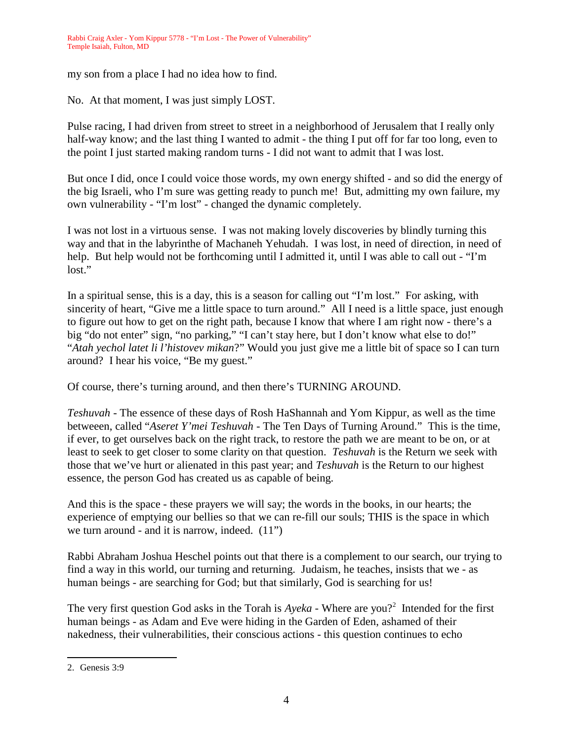my son from a place I had no idea how to find.

No. At that moment, I was just simply LOST.

Pulse racing, I had driven from street to street in a neighborhood of Jerusalem that I really only half-way know; and the last thing I wanted to admit - the thing I put off for far too long, even to the point I just started making random turns - I did not want to admit that I was lost.

But once I did, once I could voice those words, my own energy shifted - and so did the energy of the big Israeli, who I'm sure was getting ready to punch me! But, admitting my own failure, my own vulnerability - "I'm lost" - changed the dynamic completely.

I was not lost in a virtuous sense. I was not making lovely discoveries by blindly turning this way and that in the labyrinthe of Machaneh Yehudah. I was lost, in need of direction, in need of help. But help would not be forthcoming until I admitted it, until I was able to call out - "I'm lost."

In a spiritual sense, this is a day, this is a season for calling out "I'm lost." For asking, with sincerity of heart, "Give me a little space to turn around." All I need is a little space, just enough to figure out how to get on the right path, because I know that where I am right now - there's a big "do not enter" sign, "no parking," "I can't stay here, but I don't know what else to do!" "*Atah yechol latet li l'histovev mikan*?" Would you just give me a little bit of space so I can turn around? I hear his voice, "Be my guest."

Of course, there's turning around, and then there's TURNING AROUND.

*Teshuvah* - The essence of these days of Rosh HaShannah and Yom Kippur, as well as the time betweeen, called "*Aseret Y'mei Teshuvah* - The Ten Days of Turning Around." This is the time, if ever, to get ourselves back on the right track, to restore the path we are meant to be on, or at least to seek to get closer to some clarity on that question. *Teshuvah* is the Return we seek with those that we've hurt or alienated in this past year; and *Teshuvah* is the Return to our highest essence, the person God has created us as capable of being.

And this is the space - these prayers we will say; the words in the books, in our hearts; the experience of emptying our bellies so that we can re-fill our souls; THIS is the space in which we turn around - and it is narrow, indeed. (11")

Rabbi Abraham Joshua Heschel points out that there is a complement to our search, our trying to find a way in this world, our turning and returning. Judaism, he teaches, insists that we - as human beings - are searching for God; but that similarly, God is searching for us!

The very first question God asks in the Torah is *Ayeka* - Where are you?<sup>2</sup> Intended for the first human beings - as Adam and Eve were hiding in the Garden of Eden, ashamed of their nakedness, their vulnerabilities, their conscious actions - this question continues to echo

<sup>2.</sup> Genesis 3:9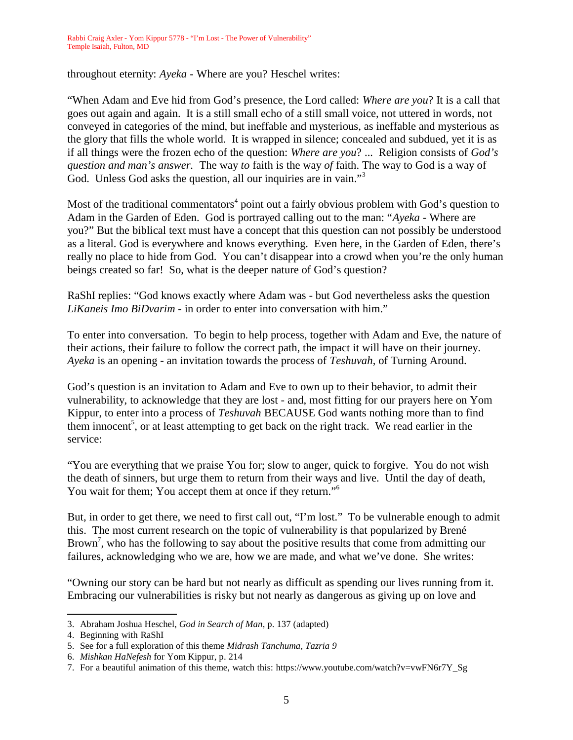throughout eternity: *Ayeka* - Where are you? Heschel writes:

"When Adam and Eve hid from God's presence, the Lord called: *Where are you*? It is a call that goes out again and again. It is a still small echo of a still small voice, not uttered in words, not conveyed in categories of the mind, but ineffable and mysterious, as ineffable and mysterious as the glory that fills the whole world. It is wrapped in silence; concealed and subdued, yet it is as if all things were the frozen echo of the question: *Where are you*? ... Religion consists of *God's question and man's answer.* The way *to* faith is the way *of* faith. The way to God is a way of God. Unless God asks the question, all our inquiries are in vain."<sup>3</sup>

Most of the traditional commentators<sup>4</sup> point out a fairly obvious problem with God's question to Adam in the Garden of Eden. God is portrayed calling out to the man: "*Ayeka* - Where are you?" But the biblical text must have a concept that this question can not possibly be understood as a literal. God is everywhere and knows everything. Even here, in the Garden of Eden, there's really no place to hide from God. You can't disappear into a crowd when you're the only human beings created so far! So, what is the deeper nature of God's question?

RaShI replies: "God knows exactly where Adam was - but God nevertheless asks the question *LiKaneis Imo BiDvarim* - in order to enter into conversation with him."

To enter into conversation. To begin to help process, together with Adam and Eve, the nature of their actions, their failure to follow the correct path, the impact it will have on their journey. *Ayeka* is an opening - an invitation towards the process of *Teshuvah*, of Turning Around.

God's question is an invitation to Adam and Eve to own up to their behavior, to admit their vulnerability, to acknowledge that they are lost - and, most fitting for our prayers here on Yom Kippur, to enter into a process of *Teshuvah* BECAUSE God wants nothing more than to find them innocent<sup>5</sup>, or at least attempting to get back on the right track. We read earlier in the service:

"You are everything that we praise You for; slow to anger, quick to forgive. You do not wish the death of sinners, but urge them to return from their ways and live. Until the day of death, You wait for them; You accept them at once if they return."<sup>6</sup>

But, in order to get there, we need to first call out, "I'm lost." To be vulnerable enough to admit this. The most current research on the topic of vulnerability is that popularized by Brené Brown<sup>7</sup>, who has the following to say about the positive results that come from admitting our failures, acknowledging who we are, how we are made, and what we've done. She writes:

"Owning our story can be hard but not nearly as difficult as spending our lives running from it. Embracing our vulnerabilities is risky but not nearly as dangerous as giving up on love and

<sup>3.</sup> Abraham Joshua Heschel, *God in Search of Man*, p. 137 (adapted)

<sup>4.</sup> Beginning with RaShI

<sup>5.</sup> See for a full exploration of this theme *Midrash Tanchuma, Tazria 9*

<sup>6.</sup> *Mishkan HaNefesh* for Yom Kippur, p. 214

<sup>7.</sup> For a beautiful animation of this theme, watch this: https://www.youtube.com/watch?v=vwFN6r7Y\_Sg